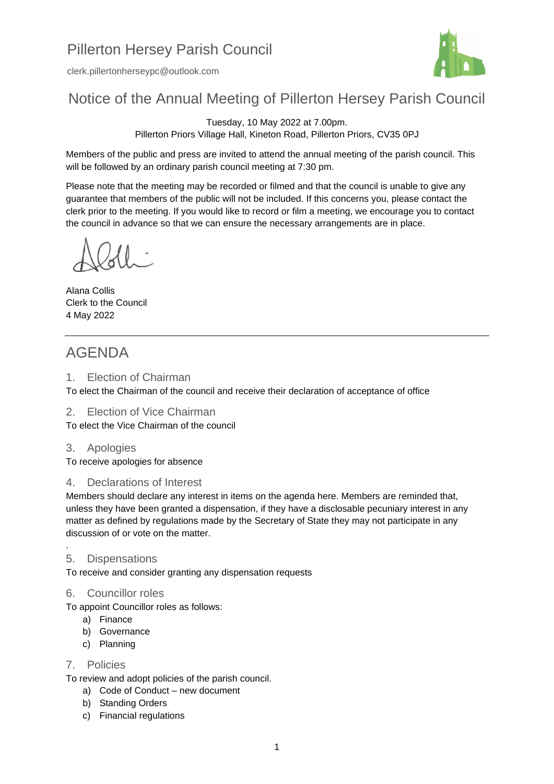# Pillerton Hersey Parish Council

clerk.pillertonherseypc@outlook.com



## Notice of the Annual Meeting of Pillerton Hersey Parish Council

Tuesday, 10 May 2022 at 7.00pm. Pillerton Priors Village Hall, Kineton Road, Pillerton Priors, CV35 0PJ

Members of the public and press are invited to attend the annual meeting of the parish council. This will be followed by an ordinary parish council meeting at 7:30 pm.

Please note that the meeting may be recorded or filmed and that the council is unable to give any guarantee that members of the public will not be included. If this concerns you, please contact the clerk prior to the meeting. If you would like to record or film a meeting, we encourage you to contact the council in advance so that we can ensure the necessary arrangements are in place.

Alana Collis Clerk to the Council 4 May 2022

### AGENDA

1. Election of Chairman

To elect the Chairman of the council and receive their declaration of acceptance of office

2. Election of Vice Chairman

To elect the Vice Chairman of the council

3. Apologies

To receive apologies for absence

#### 4. Declarations of Interest

Members should declare any interest in items on the agenda here. Members are reminded that, unless they have been granted a dispensation, if they have a disclosable pecuniary interest in any matter as defined by regulations made by the Secretary of State they may not participate in any discussion of or vote on the matter.

#### 5. Dispensations

.

To receive and consider granting any dispensation requests

#### 6. Councillor roles

To appoint Councillor roles as follows:

- a) Finance
- b) Governance
- c) Planning

#### 7. Policies

To review and adopt policies of the parish council.

- a) Code of Conduct new document
- b) Standing Orders
- c) Financial regulations